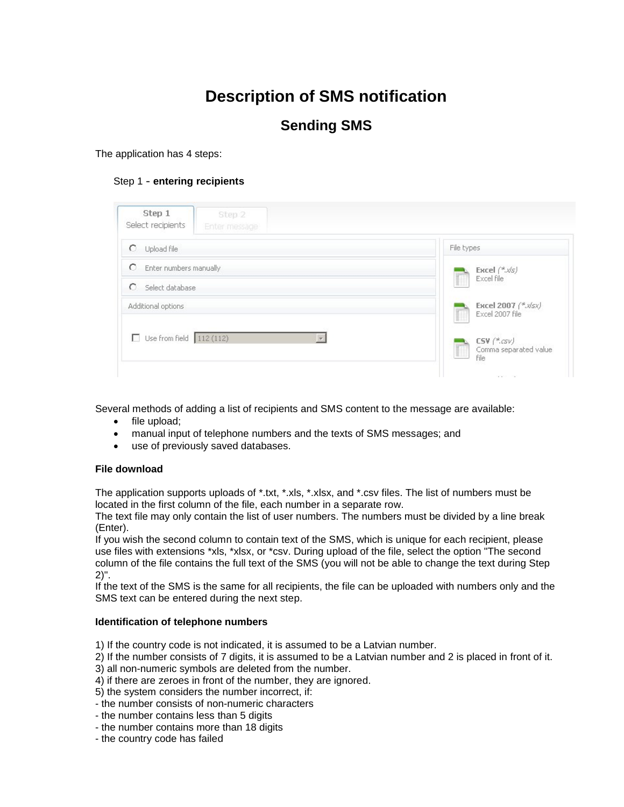# **Description of SMS notification**

### **Sending SMS**

The application has 4 steps:

#### Step 1 - **entering recipients**

| Select recipients<br>Enter message    |                                                                           |
|---------------------------------------|---------------------------------------------------------------------------|
| O<br>Upload file                      | File types                                                                |
| O<br>Enter numbers manually<br>О      | Excel $(^*$ . $\sqrt{s}$ )<br>Excel file                                  |
| Select database<br>Additional options | Excel 2007 (*.x/sx)<br>Excel 2007 file                                    |
| Use from field $112(112)$             | $\mathsf{CSV}\nmid^\ast\!\!\mathit{csv}$<br>Comma separated value<br>file |

Several methods of adding a list of recipients and SMS content to the message are available:

- file upload;
- manual input of telephone numbers and the texts of SMS messages; and
- use of previously saved databases.

#### **File download**

The application supports uploads of \*.txt, \*.xls, \*.xlsx, and \*.csv files. The list of numbers must be located in the first column of the file, each number in a separate row.

The text file may only contain the list of user numbers. The numbers must be divided by a line break (Enter).

If you wish the second column to contain text of the SMS, which is unique for each recipient, please use files with extensions \*xls, \*xlsx, or \*csv. During upload of the file, select the option "The second column of the file contains the full text of the SMS (you will not be able to change the text during Step 2)".

If the text of the SMS is the same for all recipients, the file can be uploaded with numbers only and the SMS text can be entered during the next step.

#### **Identification of telephone numbers**

1) If the country code is not indicated, it is assumed to be a Latvian number.

2) If the number consists of 7 digits, it is assumed to be a Latvian number and 2 is placed in front of it.

3) all non-numeric symbols are deleted from the number.

4) if there are zeroes in front of the number, they are ignored.

5) the system considers the number incorrect, if:

- the number consists of non-numeric characters
- the number contains less than 5 digits
- the number contains more than 18 digits
- the country code has failed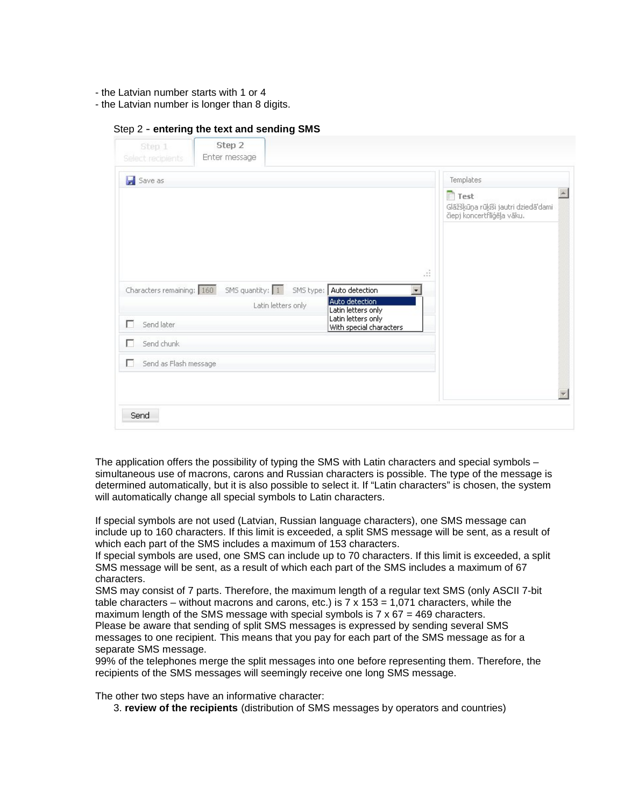- the Latvian number starts with 1 or 4
- the Latvian number is longer than 8 digits.

#### Step 2 - **entering the text and sending SMS**

| Select recipients          | Step 2<br>Enter message   |                                 |                                                        |    |                                                                                              |
|----------------------------|---------------------------|---------------------------------|--------------------------------------------------------|----|----------------------------------------------------------------------------------------------|
| Save as                    |                           |                                 |                                                        |    | Templates                                                                                    |
| Characters remaining: 160  | SMS quantity: $\boxed{1}$ | SMS type:<br>Latin letters only | Auto detection<br>Auto detection<br>Latin letters only | S. | $\Delta$<br>$\Box$ Test<br>Glāžšķūņa rūķīši jautri dziedā'dami<br>čiepj koncertflīģēja vāku. |
| г<br>Send later            |                           |                                 | Latin letters only<br>With special characters          |    |                                                                                              |
| Send chunk<br>г            |                           |                                 |                                                        |    |                                                                                              |
| г<br>Send as Flash message |                           |                                 |                                                        |    |                                                                                              |
|                            |                           |                                 |                                                        |    |                                                                                              |
|                            |                           |                                 |                                                        |    |                                                                                              |

The application offers the possibility of typing the SMS with Latin characters and special symbols – simultaneous use of macrons, carons and Russian characters is possible. The type of the message is determined automatically, but it is also possible to select it. If "Latin characters" is chosen, the system will automatically change all special symbols to Latin characters.

If special symbols are not used (Latvian, Russian language characters), one SMS message can include up to 160 characters. If this limit is exceeded, a split SMS message will be sent, as a result of which each part of the SMS includes a maximum of 153 characters.

If special symbols are used, one SMS can include up to 70 characters. If this limit is exceeded, a split SMS message will be sent, as a result of which each part of the SMS includes a maximum of 67 characters.

SMS may consist of 7 parts. Therefore, the maximum length of a regular text SMS (only ASCII 7-bit table characters – without macrons and carons, etc.) is  $7 \times 153 = 1,071$  characters, while the maximum length of the SMS message with special symbols is  $7 \times 67 = 469$  characters. Please be aware that sending of split SMS messages is expressed by sending several SMS messages to one recipient. This means that you pay for each part of the SMS message as for a separate SMS message.

99% of the telephones merge the split messages into one before representing them. Therefore, the recipients of the SMS messages will seemingly receive one long SMS message.

The other two steps have an informative character:

3. **review of the recipients** (distribution of SMS messages by operators and countries)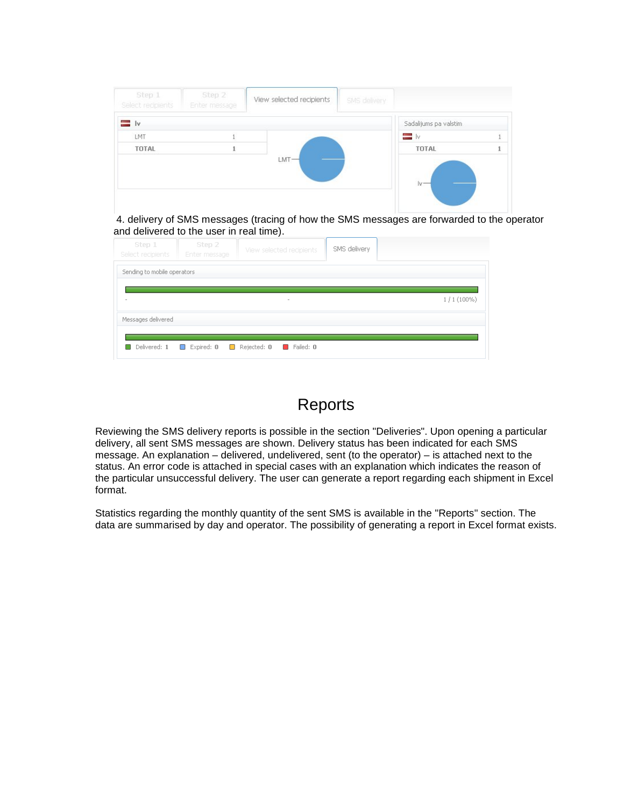| Step 1<br>Select recipients | Step 2<br>Enter message | View selected recipients | SMS delivery |                        |  |
|-----------------------------|-------------------------|--------------------------|--------------|------------------------|--|
| = Iv                        |                         |                          |              | Sadalijums pa valstim. |  |
| LMT                         |                         |                          |              | — Iv                   |  |
| TOTAL                       |                         |                          |              | TOTAL                  |  |
|                             |                         | $LMT -$                  |              | $iv -$                 |  |

4. delivery of SMS messages (tracing of how the SMS messages are forwarded to the operator and delivered to the user in real time).

| Step 1<br>Select recipients | Step 2<br>Enter message | View selected recipients                           | SMS delivery |              |
|-----------------------------|-------------------------|----------------------------------------------------|--------------|--------------|
| Sending to mobile operators |                         |                                                    |              |              |
| $\sim$                      |                         | $\sim$                                             |              | $1/1(100\%)$ |
| Messages delivered          |                         |                                                    |              |              |
| Delivered: 1                | $\Box$ Expired: 0       | $\Box$ Rejected: $0$<br>$\blacksquare$ Failed: $0$ |              |              |

### Reports

Reviewing the SMS delivery reports is possible in the section "Deliveries". Upon opening a particular delivery, all sent SMS messages are shown. Delivery status has been indicated for each SMS message. An explanation – delivered, undelivered, sent (to the operator) – is attached next to the status. An error code is attached in special cases with an explanation which indicates the reason of the particular unsuccessful delivery. The user can generate a report regarding each shipment in Excel format.

Statistics regarding the monthly quantity of the sent SMS is available in the "Reports" section. The data are summarised by day and operator. The possibility of generating a report in Excel format exists.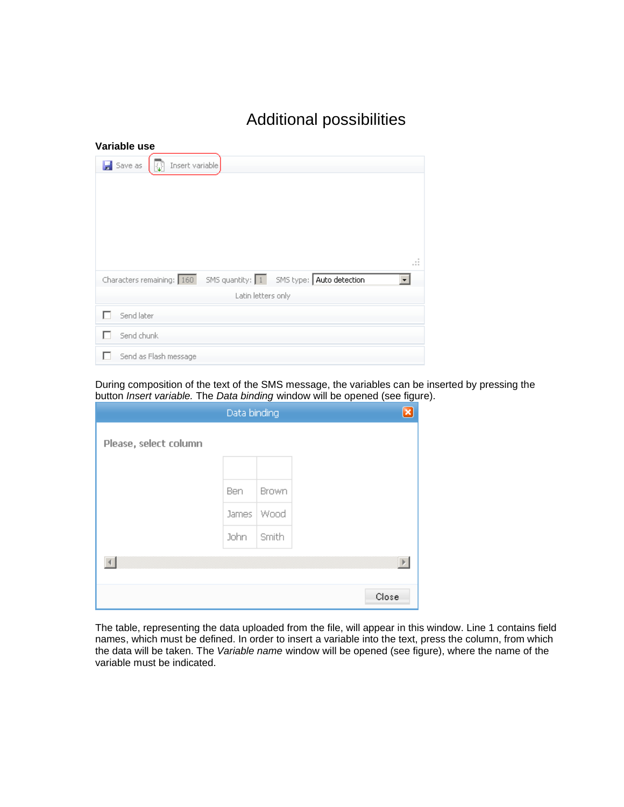## Additional possibilities

| Variable use                                                          |
|-----------------------------------------------------------------------|
| $\frac{1}{2}$ Save as<br>Insert variable                              |
|                                                                       |
|                                                                       |
|                                                                       |
|                                                                       |
| -11                                                                   |
| SMS quantity: 1 SMS type: Auto detection<br>Characters remaining: 160 |
| Latin letters only                                                    |
| Send later                                                            |
| Send chunk                                                            |
| Send as Flash message                                                 |

During composition of the text of the SMS message, the variables can be inserted by pressing the button *Insert variable.* The *Data binding* window will be opened (see figure).

|                       | Data binding |       | ×     |
|-----------------------|--------------|-------|-------|
| Please, select column |              |       |       |
|                       |              |       |       |
|                       | Ben          | Brown |       |
|                       | James        | Wood  |       |
|                       | John         | Smith |       |
|                       |              |       |       |
|                       |              |       | Close |

The table, representing the data uploaded from the file, will appear in this window. Line 1 contains field names, which must be defined. In order to insert a variable into the text, press the column, from which the data will be taken. The *Variable name* window will be opened (see figure), where the name of the variable must be indicated.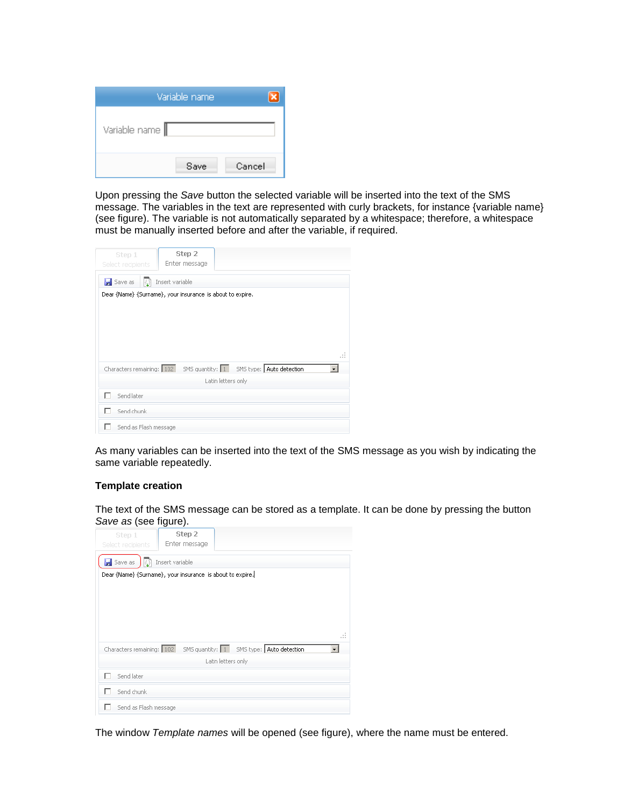|               | Variable name |        |
|---------------|---------------|--------|
| Variable name |               |        |
|               | Save          | Cancel |

Upon pressing the *Save* button the selected variable will be inserted into the text of the SMS message. The variables in the text are represented with curly brackets, for instance {variable name} (see figure). The variable is not automatically separated by a whitespace; therefore, a whitespace must be manually inserted before and after the variable, if required.

| Step 1<br>Select recipients                                        | Step 2<br>Enter message |                    |    |
|--------------------------------------------------------------------|-------------------------|--------------------|----|
| Save as                                                            | Insert variable         |                    |    |
| Dear {Name} {Surname}, your insurance is about to expire.          |                         |                    |    |
|                                                                    |                         |                    |    |
|                                                                    |                         |                    |    |
|                                                                    |                         |                    |    |
|                                                                    |                         |                    | a. |
| Characters remaining: 102 SMS quantity: 1 SMS type: Auto detection |                         |                    |    |
|                                                                    |                         | Latin letters only |    |
| Send later                                                         |                         |                    |    |
| Send chunk                                                         |                         |                    |    |
| Send as Flash message                                              |                         |                    |    |

As many variables can be inserted into the text of the SMS message as you wish by indicating the same variable repeatedly.

#### **Template creation**

The text of the SMS message can be stored as a template. It can be done by pressing the button *Save as* (see figure).

| Step 1                                                    | Step 2          |                                          |     |
|-----------------------------------------------------------|-----------------|------------------------------------------|-----|
| Select recipients                                         | Enter message   |                                          |     |
| Save as                                                   | Insert variable |                                          |     |
| Dear {Name} {Surname}, your insurance is about to expire, |                 |                                          |     |
|                                                           |                 |                                          |     |
|                                                           |                 |                                          |     |
|                                                           |                 |                                          |     |
|                                                           |                 |                                          |     |
|                                                           |                 |                                          | -11 |
| Characters remaining: 102                                 |                 | SMS quantity: 1 SMS type: Auto detection |     |
|                                                           |                 | Latin letters only                       |     |
| Send later                                                |                 |                                          |     |
| Send chunk                                                |                 |                                          |     |
| Send as Flash message                                     |                 |                                          |     |

The window *Template names* will be opened (see figure), where the name must be entered.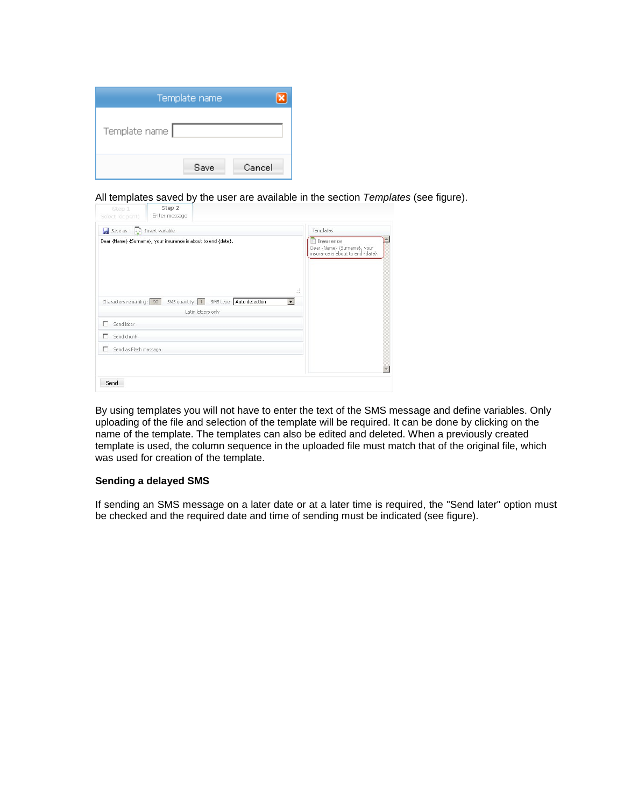|               | Template name |        |
|---------------|---------------|--------|
| Template name |               |        |
|               | Save          | Cancel |

All templates saved by the user are available in the section *Templates* (see figure).

| Save as<br>Insert variable<br>k۶<br>Dear {Name} {Surname}, your insurance is about to end {date}.        | Templates<br>Insurence                                           |
|----------------------------------------------------------------------------------------------------------|------------------------------------------------------------------|
|                                                                                                          | Dear {Name} {Surname}, your<br>insurance is about to end {date}. |
|                                                                                                          |                                                                  |
|                                                                                                          |                                                                  |
| Æ<br>SMS quantity: 1<br>SMS type: Auto detection<br>Characters remaining: 99<br>$\overline{\phantom{a}}$ |                                                                  |
| Latin letters only                                                                                       |                                                                  |
| п<br>Send later                                                                                          |                                                                  |
| г<br>Send chunk                                                                                          |                                                                  |
| Send as Flash message<br>п                                                                               |                                                                  |
|                                                                                                          |                                                                  |
|                                                                                                          |                                                                  |

By using templates you will not have to enter the text of the SMS message and define variables. Only uploading of the file and selection of the template will be required. It can be done by clicking on the name of the template. The templates can also be edited and deleted. When a previously created template is used, the column sequence in the uploaded file must match that of the original file, which was used for creation of the template.

#### **Sending a delayed SMS**

If sending an SMS message on a later date or at a later time is required, the "Send later" option must be checked and the required date and time of sending must be indicated (see figure).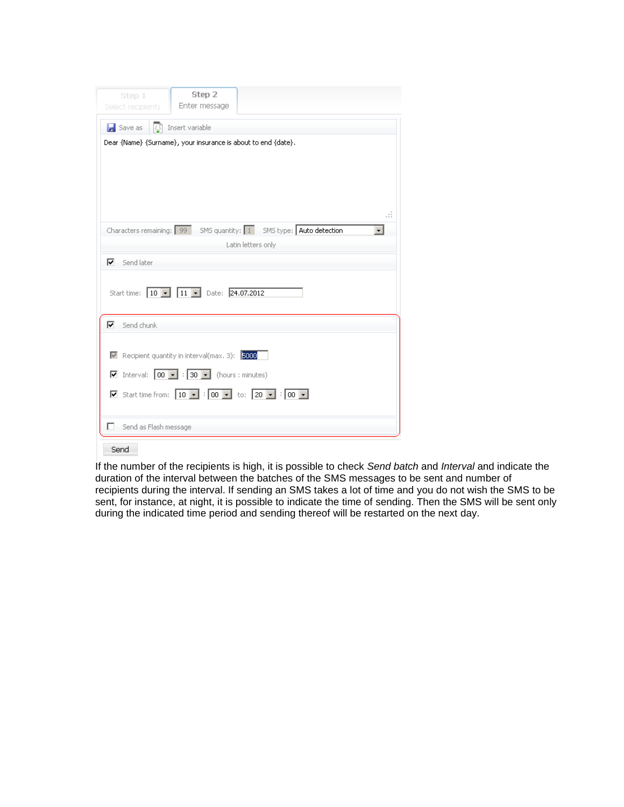| Step 2<br>Step 1<br>Enter message<br>Select recipients                                                                                                         |
|----------------------------------------------------------------------------------------------------------------------------------------------------------------|
| Save as<br>Insert variable<br>KF<br>Dear {Name} {Surname}, your insurance is about to end {date}.                                                              |
| .<br>Characters remaining: 99 SMS quantity: 1 SMS type: Auto detection<br>$\overline{\phantom{a}}$<br>Latin letters only<br>⊽<br>Send later                    |
| Start time: 10   11   Date: 24.07.2012                                                                                                                         |
| ⊽<br>Send chunk                                                                                                                                                |
| Recipient quantity in interval(max, 3); 5000<br>$\boxed{\triangleright}$ Interval: $\boxed{00 \triangleright}$ : $\boxed{30 \triangleright}$ (hours : minutes) |
| ■ Start time from: $\boxed{10}$ ▼ : $\boxed{00}$ ▼ to: $\boxed{20}$ ▼ : $\boxed{00}$ ▼                                                                         |
| Send as Flash message                                                                                                                                          |

Send

If the number of the recipients is high, it is possible to check *Send batch* and *Interval* and indicate the duration of the interval between the batches of the SMS messages to be sent and number of recipients during the interval. If sending an SMS takes a lot of time and you do not wish the SMS to be sent, for instance, at night, it is possible to indicate the time of sending. Then the SMS will be sent only during the indicated time period and sending thereof will be restarted on the next day.